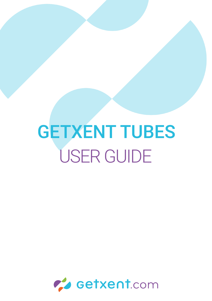# GETXENT TUBES USER GUIDE

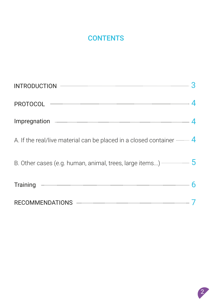#### **CONTENTS**

| INTRODUCTION 3                                                                                                                                                                                                                       |  |
|--------------------------------------------------------------------------------------------------------------------------------------------------------------------------------------------------------------------------------------|--|
| PROTOCOL ————————————————————————————————— 4                                                                                                                                                                                         |  |
| Impregnation <b>Executive Contract Contract Contract Contract Contract Contract Contract Contract Contract Contract Contract Contract Contract Contract Contract Contract Contract Contract Contract Contract Contract Contract </b> |  |
| A. If the real/live material can be placed in a closed container $\frac{4}{1}$                                                                                                                                                       |  |
| B. Other cases (e.g. human, animal, trees, large items) -------------------- 5                                                                                                                                                       |  |
| Training $\overline{\phantom{a}}$ 6                                                                                                                                                                                                  |  |
| RECOMMENDATIONS NETRA CONTROL 27                                                                                                                                                                                                     |  |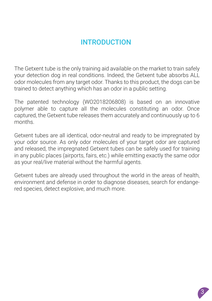#### INTRODUCTION

The Getxent tube is the only training aid available on the market to train safely your detection dog in real conditions. Indeed, the Getxent tube absorbs ALL odor molecules from any target odor. Thanks to this product, the dogs can be trained to detect anything which has an odor in a public setting.

The patented technology (WO2018206808) is based on an innovative polymer able to capture all the molecules constituting an odor. Once captured, the Getxent tube releases them accurately and continuously up to 6 months.

Getxent tubes are all identical, odor-neutral and ready to be impregnated by your odor source. As only odor molecules of your target odor are captured and released, the impregnated Getxent tubes can be safely used for training in any public places (airports, fairs, etc.) while emitting exactly the same odor as your real/live material without the harmful agents.

Getxent tubes are already used throughout the world in the areas of health, environment and defense in order to diagnose diseases, search for endangered species, detect explosive, and much more.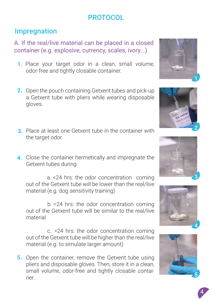#### **PROTOCOL**

#### **Impregnation**

A. If the real/live material can be placed in a closed container (e.g. explosive, currency, scales, ivory...)

- 1. Place your target odor in a clean, small volume, odor-free and tightly closable container.
- 2. Open the pouch containing Getxent tubes and pick-up a Getxent tube with pliers while wearing disposable gloves.
- **3**. Place at least one Getxent tube in the container with the target odor.
- 4. Close the container hermetically and impregnate the Getxent tubes during:

a. <24 hrs: the odor concentration coming out of the Getxent tube will be lower than the real/live material (e.g. dog sensitivity training)

b. =24 hrs: the odor concentration coming out of the Getxent tube will be similar to the real/live material

c. >24 hrs: the odor concentration coming out of the Getxent tube will be higher than the real/live material (e.g. to simulate larger amount)

5. Open the container, remove the Getxent tube using pliers and disposable gloves. Then, store it in a clean, small volume, odor-free and tightly closable container.



2







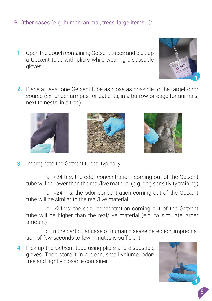#### B. Other cases (e.g. human, animal, trees, large items...):

- **1.** Open the pouch containing Getxent tubes and pick-up a Getxent tube with pliers while wearing disposable gloves.
- 2. Place at least one Getxent tube as close as possible to the target odor source (ex. under armpits for patients, in a burrow or cage for animals, next to nests, in a tree).



a. <24 hrs: the odor concentration coming out of the Getxent tube will be lower than the real/live material (e.g. dog sensitivity training)

b. =24 hrs: the odor concentration coming out of the Getxent tube will be similar to the real/live material

c. >24hrs: the odor concentration coming out of the Getxent tube will be higher than the real/live material (e.g. to simulate larger amount)

d. In the particular case of human disease detection, impregnation of few seconds to few minutes is sufficient.

4. Pick-up the Getxent tube using pliers and disposable gloves. Then store it in a clean, small volume, odorfree and tightly closable container.









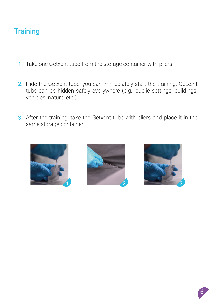#### **Training**

- **1.** Take one Getxent tube from the storage container with pliers.
- 2. Hide the Getxent tube, you can immediately start the training. Getxent tube can be hidden safely everywhere (e.g., public settings, buildings, vehicles, nature, etc.).
- 3. After the training, take the Getxent tube with pliers and place it in the same storage container.







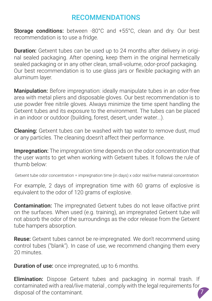#### RECOMMENDATIONS

Storage conditions: between -80°C and +55°C, clean and dry. Our best recommendation is to use a fridge.

**Duration:** Getxent tubes can be used up to 24 months after delivery in original sealed packaging. After opening, keep them in the original hermetically sealed packaging or in any other clean, small-volume, odor-proof packaging. Our best recommendation is to use glass jars or fexible packaging with an aluminum layer.

**Manipulation:** Before impregnation: ideally manipulate tubes in an odor-free area with metal pliers and disposable gloves. Our best recommendation is to use powder free nitrile gloves. Always minimize the time spent handling the Getxent tubes and its exposure to the environment. The tubes can be placed in an indoor or outdoor (building, forest, desert, under water...).

Cleaning: Getxent tubes can be washed with tap water to remove dust, mud or any particles. The cleaning doesn't affect their performance.

**Impregnation:** The impregnation time depends on the odor concentration that the user wants to get when working with Getxent tubes. It follows the rule of thumb below:

Getxent tube odor concentration = impregnation time (in days) x odor real/live material concentration

For example, 2 days of impregnation time with 60 grams of explosive is equivalent to the odor of 120 grams of explosive.

Contamination: The impregnated Getxent tubes do not leave olfactive print on the surfaces. When used (e.g. training), an impregnated Getxent tube will not absorb the odor of the surroundings as the odor release from the Getxent tube hampers absorption.

Reuse: Getxent tubes cannot be re-impregnated. We don't recommend using control tubes ("blank"). In case of use, we recommend changing them every 20 minutes.

**Duration of use:** once impregnated, up to 6 months.

7 **Elimination:** Dispose Getxent tubes and packaging in normal trash. If contaminated with a real/live material , comply with the legal requirements for disposal of the contaminant.